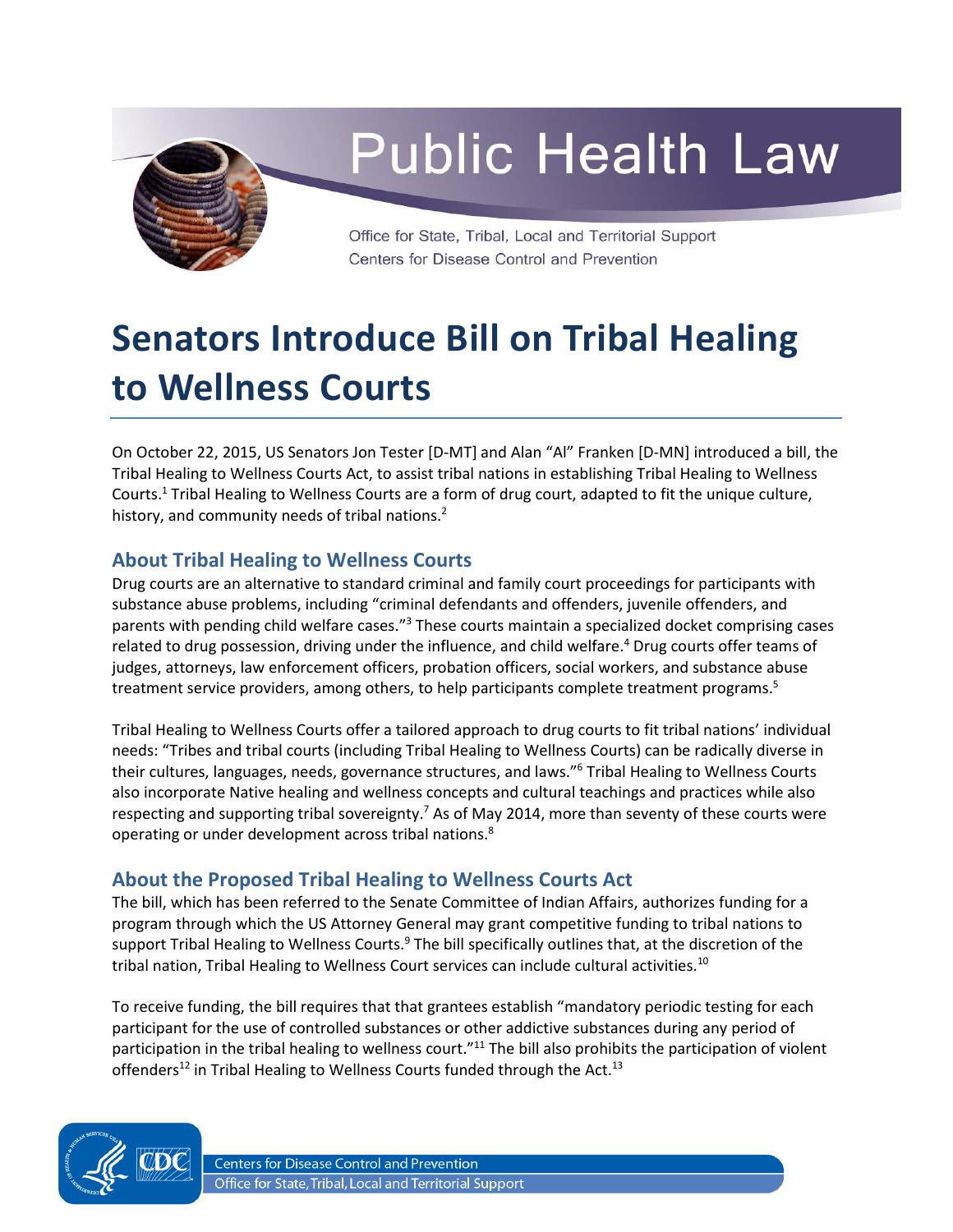

# **Public Health Law**

Office for State, Tribal, Local and Territorial Support Centers for Disease Control and Prevention

## **Senators Introduce Bill on Tribal Healing to Wellness Courts**

On October 22, 2015, US Senators Jon Tester [D-MT] and Alan "Al" Franken [D-MN] introduced a bill, the Tribal Healing to Wellness Courts Act, to assist tribal nations in establishing Tribal Healing to Wellness Courts.[1](#page-1-0) Tribal Healing to Wellness Courts are a form of drug court, adapted to fit the unique culture, history, and community needs of tribal nations.<sup>[2](#page-1-1)</sup>

#### **About Tribal Healing to Wellness Courts**

Drug courts are an alternative to standard criminal and family court proceedings for participants with substance abuse problems, including "criminal defendants and offenders, juvenile offenders, and parents with pending child welfare cases."[3](#page-1-2) These courts maintain a specialized docket comprising cases related to drug possession, driving under the influence, and child welfare.<sup>[4](#page-1-3)</sup> Drug courts offer teams of judges, attorneys, law enforcement officers, probation officers, social workers, and substance abuse treatment service providers, among others, to help participants complete treatment programs.<sup>[5](#page-1-4)</sup>

Tribal Healing to Wellness Courts offer a tailored approach to drug courts to fit tribal nations' individual needs: "Tribes and tribal courts (including Tribal Healing to Wellness Courts) can be radically diverse in their cultures, languages, needs, governance structures, and laws."<sup>[6](#page-1-5)</sup> Tribal Healing to Wellness Courts also incorporate Native healing and wellness concepts and cultural teachings and practices while also respecting and supporting tribal sovereignty.<sup>[7](#page-1-6)</sup> As of May 2014, more than seventy of these courts were operating or under development across tribal nations.<sup>[8](#page-1-7)</sup>

### **About the Proposed Tribal Healing to Wellness Courts Act**

The bill, which has been referred to the Senate Committee of Indian Affairs, authorizes funding for a program through which the US Attorney General may grant competitive funding to tribal nations to support Tribal Healing to Wellness Courts.<sup>[9](#page-1-8)</sup> The bill specifically outlines that, at the discretion of the tribal nation, Tribal Healing to Wellness Court services can include cultural activities.<sup>[10](#page-1-9)</sup>

To receive funding, the bill requires that that grantees establish "mandatory periodic testing for each participant for the use of controlled substances or other addictive substances during any period of participation in the tribal healing to wellness court."[11](#page-1-10) The bill also prohibits the participation of violent offenders<sup>[12](#page-1-11)</sup> in Tribal Healing to Wellness Courts funded through the Act.<sup>[13](#page-1-12)</sup>



**Centers for Disease Control and Prevention** Office for State, Tribal, Local and Territorial Support